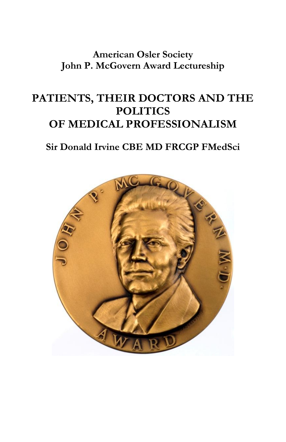**American Osler Society John P. McGovern Award Lectureship**

# **PATIENTS, THEIR DOCTORS AND THE POLITICS OF MEDICAL PROFESSIONALISM**

## **Sir Donald Irvine CBE MD FRCGP FMedSci**

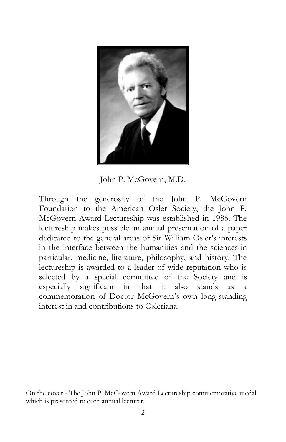

John P. McGovern, M.D.

Through the generosity of the John P. McGovern Foundation to the American Osler Society, the John P. McGovern Award Lectureship was established in 1986. The lectureship makes possible an annual presentation of a paper dedicated to the general areas of Sir William Osler's interests in the interface between the humanities and the sciences-in particular, medicine, literature, philosophy, and history. The lectureship is awarded to a leader of wide reputation who is selected by a special committee of the Society and is especially significant in that it also stands as a commemoration of Doctor McGovern's own long-standing interest in and contributions to Osleriana.

On the cover - The John P. McGovern Award Lectureship commemorative medal which is presented to each annual lecturer.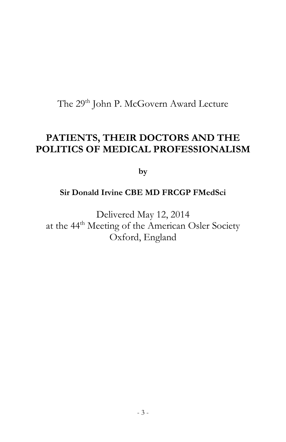The 29<sup>th</sup> John P. McGovern Award Lecture

## **PATIENTS, THEIR DOCTORS AND THE POLITICS OF MEDICAL PROFESSIONALISM**

**by**

#### **Sir Donald Irvine CBE MD FRCGP FMedSci**

Delivered May 12, 2014 at the 44<sup>th</sup> Meeting of the American Osler Society Oxford, England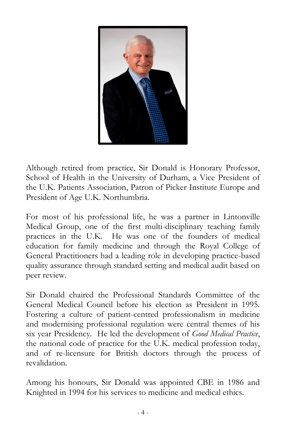

Although retired from practice, Sir Donald is Honorary Professor, School of Health in the University of Durham, a Vice President of the U.K. Patients Association, Patron of Picker Institute Europe and President of Age U.K. Northumbria.

For most of his professional life, he was a partner in Lintonville Medical Group, one of the first multi-disciplinary teaching family practices in the U.K. He was one of the founders of medical education for family medicine and through the Royal College of General Practitioners had a leading role in developing practice-based quality assurance through standard setting and medical audit based on peer review.

Sir Donald chaired the Professional Standards Committee of the General Medical Council before his election as President in 1995. Fostering a culture of patient-centred professionalism in medicine and modernising professional regulation were central themes of his six year Presidency. He led the development of *Good Medical Practice*, the national code of practice for the U.K. medical profession today, and of re-licensure for British doctors through the process of revalidation.

Among his honours, Sir Donald was appointed CBE in 1986 and Knighted in 1994 for his services to medicine and medical ethics.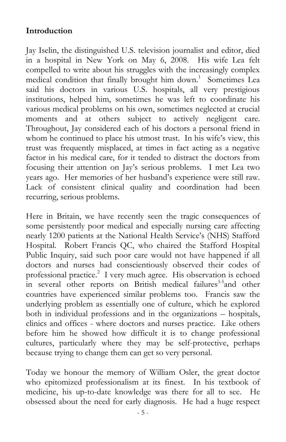#### **Introduction**

Jay Iselin, the distinguished U.S. television journalist and editor, died in a hospital in New York on May 6, 2008. His wife Lea felt compelled to write about his struggles with the increasingly complex medical condition that finally brought him down.<sup>1</sup> Sometimes Lea said his doctors in various U.S. hospitals, all very prestigious institutions, helped him, sometimes he was left to coordinate his various medical problems on his own, sometimes neglected at crucial moments and at others subject to actively negligent care. Throughout, Jay considered each of his doctors a personal friend in whom he continued to place his utmost trust. In his wife's view, this trust was frequently misplaced, at times in fact acting as a negative factor in his medical care, for it tended to distract the doctors from focusing their attention on Jay's serious problems. I met Lea two years ago. Her memories of her husband's experience were still raw. Lack of consistent clinical quality and coordination had been recurring, serious problems.

Here in Britain, we have recently seen the tragic consequences of some persistently poor medical and especially nursing care affecting nearly 1200 patients at the National Health Service's (NHS) Stafford Hospital. Robert Francis QC, who chaired the Stafford Hospital Public Inquiry, said such poor care would not have happened if all doctors and nurses had conscientiously observed their codes of professional practice. 2 I very much agree. His observation is echoed in several other reports on British medical failures<sup>3-5</sup> and other countries have experienced similar problems too. Francis saw the underlying problem as essentially one of culture, which he explored both in individual professions and in the organizations – hospitals, clinics and offices - where doctors and nurses practice. Like others before him he showed how difficult it is to change professional cultures, particularly where they may be self-protective, perhaps because trying to change them can get so very personal.

Today we honour the memory of William Osler, the great doctor who epitomized professionalism at its finest. In his textbook of medicine, his up-to-date knowledge was there for all to see. He obsessed about the need for early diagnosis. He had a huge respect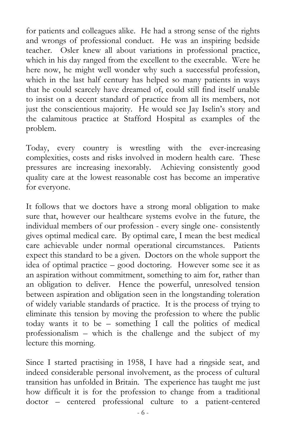for patients and colleagues alike. He had a strong sense of the rights and wrongs of professional conduct. He was an inspiring bedside teacher. Osler knew all about variations in professional practice, which in his day ranged from the excellent to the execrable. Were he here now, he might well wonder why such a successful profession, which in the last half century has helped so many patients in ways that he could scarcely have dreamed of, could still find itself unable to insist on a decent standard of practice from all its members, not just the conscientious majority. He would see Jay Iselin's story and the calamitous practice at Stafford Hospital as examples of the problem.

Today, every country is wrestling with the ever-increasing complexities, costs and risks involved in modern health care. These pressures are increasing inexorably. Achieving consistently good quality care at the lowest reasonable cost has become an imperative for everyone.

It follows that we doctors have a strong moral obligation to make sure that, however our healthcare systems evolve in the future, the individual members of our profession - every single one- consistently gives optimal medical care. By optimal care, I mean the best medical care achievable under normal operational circumstances. Patients expect this standard to be a given. Doctors on the whole support the idea of optimal practice – good doctoring. However some see it as an aspiration without commitment, something to aim for, rather than an obligation to deliver. Hence the powerful, unresolved tension between aspiration and obligation seen in the longstanding toleration of widely variable standards of practice. It is the process of trying to eliminate this tension by moving the profession to where the public today wants it to be – something I call the politics of medical professionalism – which is the challenge and the subject of my lecture this morning.

Since I started practising in 1958, I have had a ringside seat, and indeed considerable personal involvement, as the process of cultural transition has unfolded in Britain. The experience has taught me just how difficult it is for the profession to change from a traditional doctor – centered professional culture to a patient-centered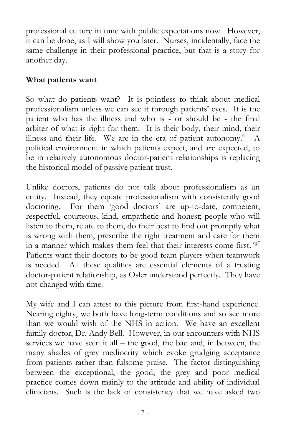professional culture in tune with public expectations now. However, it can be done, as I will show you later. Nurses, incidentally, face the same challenge in their professional practice, but that is a story for another day.

#### **What patients want**

So what do patients want? It is pointless to think about medical professionalism unless we can see it through patients' eyes. It is the patient who has the illness and who is - or should be - the final arbiter of what is right for them. It is their body, their mind, their illness and their life. We are in the era of patient autonomy.<sup>6</sup> A political environment in which patients expect, and are expected, to be in relatively autonomous doctor-patient relationships is replacing the historical model of passive patient trust.

Unlike doctors, patients do not talk about professionalism as an entity. Instead, they equate professionalism with consistently good doctoring. For them 'good doctors' are up-to-date, competent, respectful, courteous, kind, empathetic and honest; people who will listen to them, relate to them, do their best to find out promptly what is wrong with them, prescribe the right treatment and care for them in a manner which makes them feel that their interests come first.  $e^{g7}$ Patients want their doctors to be good team players when teamwork is needed. All these qualities are essential elements of a trusting doctor-patient relationship, as Osler understood perfectly. They have not changed with time.

My wife and I can attest to this picture from first-hand experience. Nearing eighty, we both have long-term conditions and so see more than we would wish of the NHS in action. We have an excellent family doctor, Dr. Andy Bell. However, in our encounters with NHS services we have seen it all – the good, the bad and, in between, the many shades of grey mediocrity which evoke grudging acceptance from patients rather than fulsome praise. The factor distinguishing between the exceptional, the good, the grey and poor medical practice comes down mainly to the attitude and ability of individual clinicians. Such is the lack of consistency that we have asked two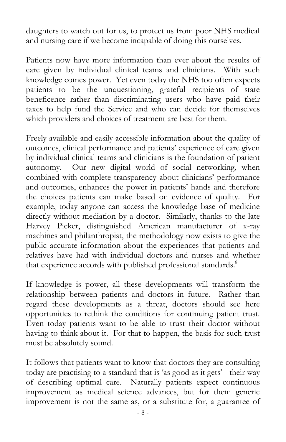daughters to watch out for us, to protect us from poor NHS medical and nursing care if we become incapable of doing this ourselves.

Patients now have more information than ever about the results of care given by individual clinical teams and clinicians. With such knowledge comes power. Yet even today the NHS too often expects patients to be the unquestioning, grateful recipients of state beneficence rather than discriminating users who have paid their taxes to help fund the Service and who can decide for themselves which providers and choices of treatment are best for them.

Freely available and easily accessible information about the quality of outcomes, clinical performance and patients' experience of care given by individual clinical teams and clinicians is the foundation of patient autonomy. Our new digital world of social networking, when combined with complete transparency about clinicians' performance and outcomes, enhances the power in patients' hands and therefore the choices patients can make based on evidence of quality. For example, today anyone can access the knowledge base of medicine directly without mediation by a doctor. Similarly, thanks to the late Harvey Picker, distinguished American manufacturer of x-ray machines and philanthropist, the methodology now exists to give the public accurate information about the experiences that patients and relatives have had with individual doctors and nurses and whether that experience accords with published professional standards.<sup>8</sup>

If knowledge is power, all these developments will transform the relationship between patients and doctors in future. Rather than regard these developments as a threat, doctors should see here opportunities to rethink the conditions for continuing patient trust. Even today patients want to be able to trust their doctor without having to think about it. For that to happen, the basis for such trust must be absolutely sound.

It follows that patients want to know that doctors they are consulting today are practising to a standard that is 'as good as it gets' - their way of describing optimal care. Naturally patients expect continuous improvement as medical science advances, but for them generic improvement is not the same as, or a substitute for, a guarantee of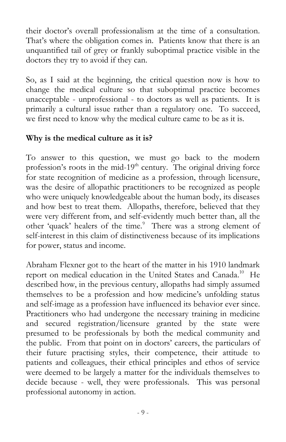their doctor's overall professionalism at the time of a consultation. That's where the obligation comes in. Patients know that there is an unquantified tail of grey or frankly suboptimal practice visible in the doctors they try to avoid if they can.

So, as I said at the beginning, the critical question now is how to change the medical culture so that suboptimal practice becomes unacceptable - unprofessional - to doctors as well as patients. It is primarily a cultural issue rather than a regulatory one. To succeed, we first need to know why the medical culture came to be as it is.

#### **Why is the medical culture as it is?**

To answer to this question, we must go back to the modern profession's roots in the mid- $19<sup>th</sup>$  century. The original driving force for state recognition of medicine as a profession, through licensure, was the desire of allopathic practitioners to be recognized as people who were uniquely knowledgeable about the human body, its diseases and how best to treat them. Allopaths, therefore, believed that they were very different from, and self-evidently much better than, all the other 'quack' healers of the time.<sup>9</sup> There was a strong element of self-interest in this claim of distinctiveness because of its implications for power, status and income.

Abraham Flexner got to the heart of the matter in his 1910 landmark report on medical education in the United States and Canada.<sup>10</sup> He described how, in the previous century, allopaths had simply assumed themselves to be a profession and how medicine's unfolding status and self-image as a profession have influenced its behavior ever since. Practitioners who had undergone the necessary training in medicine and secured registration/licensure granted by the state were presumed to be professionals by both the medical community and the public. From that point on in doctors' careers, the particulars of their future practising styles, their competence, their attitude to patients and colleagues, their ethical principles and ethos of service were deemed to be largely a matter for the individuals themselves to decide because - well, they were professionals. This was personal professional autonomy in action.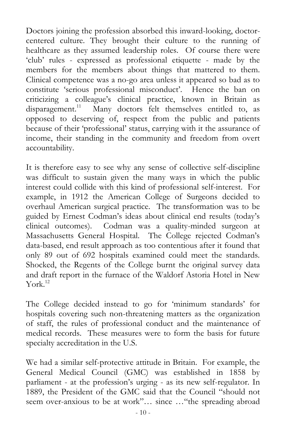Doctors joining the profession absorbed this inward-looking, doctorcentered culture. They brought their culture to the running of healthcare as they assumed leadership roles. Of course there were 'club' rules - expressed as professional etiquette - made by the members for the members about things that mattered to them. Clinical competence was a no-go area unless it appeared so bad as to constitute 'serious professional misconduct'. Hence the ban on criticizing a colleague's clinical practice, known in Britain as disparagement.<sup>11</sup> Many doctors felt themselves entitled to, as opposed to deserving of, respect from the public and patients because of their 'professional' status, carrying with it the assurance of income, their standing in the community and freedom from overt accountability.

It is therefore easy to see why any sense of collective self-discipline was difficult to sustain given the many ways in which the public interest could collide with this kind of professional self-interest. For example, in 1912 the American College of Surgeons decided to overhaul American surgical practice. The transformation was to be guided by Ernest Codman's ideas about clinical end results (today's clinical outcomes). Codman was a quality-minded surgeon at Massachusetts General Hospital. The College rejected Codman's data-based, end result approach as too contentious after it found that only 89 out of 692 hospitals examined could meet the standards. Shocked, the Regents of the College burnt the original survey data and draft report in the furnace of the Waldorf Astoria Hotel in New York. 12

The College decided instead to go for 'minimum standards' for hospitals covering such non-threatening matters as the organization of staff, the rules of professional conduct and the maintenance of medical records. These measures were to form the basis for future specialty accreditation in the U.S.

We had a similar self-protective attitude in Britain. For example, the General Medical Council (GMC) was established in 1858 by parliament - at the profession's urging - as its new self-regulator. In 1889, the President of the GMC said that the Council "should not seem over-anxious to be at work"… since …"the spreading abroad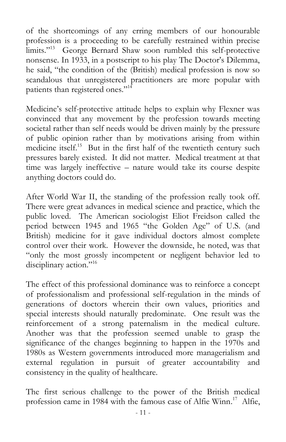of the shortcomings of any erring members of our honourable profession is a proceeding to be carefully restrained within precise limits."<sup>13</sup> George Bernard Shaw soon rumbled this self-protective nonsense. In 1933, in a postscript to his play The Doctor's Dilemma, he said, "the condition of the (British) medical profession is now so scandalous that unregistered practitioners are more popular with patients than registered ones."<sup>14</sup>

Medicine's self-protective attitude helps to explain why Flexner was convinced that any movement by the profession towards meeting societal rather than self needs would be driven mainly by the pressure of public opinion rather than by motivations arising from within medicine itself.<sup>15</sup> But in the first half of the twentieth century such pressures barely existed. It did not matter. Medical treatment at that time was largely ineffective – nature would take its course despite anything doctors could do.

After World War II, the standing of the profession really took off. There were great advances in medical science and practice, which the public loved. The American sociologist Eliot Freidson called the period between 1945 and 1965 "the Golden Age" of U.S. (and British) medicine for it gave individual doctors almost complete control over their work. However the downside, he noted, was that "only the most grossly incompetent or negligent behavior led to disciplinary action."<sup>16</sup>

The effect of this professional dominance was to reinforce a concept of professionalism and professional self-regulation in the minds of generations of doctors wherein their own values, priorities and special interests should naturally predominate. One result was the reinforcement of a strong paternalism in the medical culture. Another was that the profession seemed unable to grasp the significance of the changes beginning to happen in the 1970s and 1980s as Western governments introduced more managerialism and external regulation in pursuit of greater accountability and consistency in the quality of healthcare.

The first serious challenge to the power of the British medical profession came in 1984 with the famous case of Alfie Winn.<sup>17</sup> Alfie,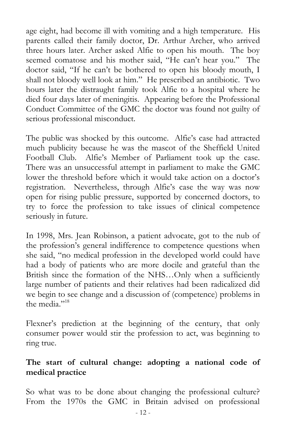age eight, had become ill with vomiting and a high temperature. His parents called their family doctor, Dr. Arthur Archer, who arrived three hours later. Archer asked Alfie to open his mouth. The boy seemed comatose and his mother said, "He can't hear you." The doctor said, "If he can't be bothered to open his bloody mouth, I shall not bloody well look at him." He prescribed an antibiotic. Two hours later the distraught family took Alfie to a hospital where he died four days later of meningitis. Appearing before the Professional Conduct Committee of the GMC the doctor was found not guilty of serious professional misconduct.

The public was shocked by this outcome. Alfie's case had attracted much publicity because he was the mascot of the Sheffield United Football Club. Alfie's Member of Parliament took up the case. There was an unsuccessful attempt in parliament to make the GMC lower the threshold before which it would take action on a doctor's registration. Nevertheless, through Alfie's case the way was now open for rising public pressure, supported by concerned doctors, to try to force the profession to take issues of clinical competence seriously in future.

In 1998, Mrs. Jean Robinson, a patient advocate, got to the nub of the profession's general indifference to competence questions when she said, "no medical profession in the developed world could have had a body of patients who are more docile and grateful than the British since the formation of the NHS…Only when a sufficiently large number of patients and their relatives had been radicalized did we begin to see change and a discussion of (competence) problems in the media."<sup>18</sup>

Flexner's prediction at the beginning of the century, that only consumer power would stir the profession to act, was beginning to ring true.

#### **The start of cultural change: adopting a national code of medical practice**

So what was to be done about changing the professional culture? From the 1970s the GMC in Britain advised on professional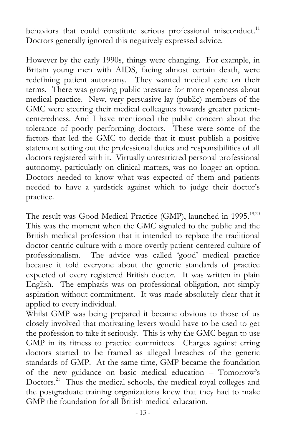behaviors that could constitute serious professional misconduct.<sup>11</sup> Doctors generally ignored this negatively expressed advice.

However by the early 1990s, things were changing. For example, in Britain young men with AIDS, facing almost certain death, were redefining patient autonomy. They wanted medical care on their terms. There was growing public pressure for more openness about medical practice. New, very persuasive lay (public) members of the GMC were steering their medical colleagues towards greater patientcenteredness. And I have mentioned the public concern about the tolerance of poorly performing doctors. These were some of the factors that led the GMC to decide that it must publish a positive statement setting out the professional duties and responsibilities of all doctors registered with it. Virtually unrestricted personal professional autonomy, particularly on clinical matters, was no longer an option. Doctors needed to know what was expected of them and patients needed to have a yardstick against which to judge their doctor's practice.

The result was Good Medical Practice (GMP), launched in 1995.<sup>19,20</sup> This was the moment when the GMC signaled to the public and the British medical profession that it intended to replace the traditional doctor-centric culture with a more overtly patient-centered culture of professionalism. The advice was called 'good' medical practice because it told everyone about the generic standards of practice expected of every registered British doctor. It was written in plain English. The emphasis was on professional obligation, not simply aspiration without commitment. It was made absolutely clear that it applied to every individual.

Whilst GMP was being prepared it became obvious to those of us closely involved that motivating levers would have to be used to get the profession to take it seriously. This is why the GMC began to use GMP in its fitness to practice committees. Charges against erring doctors started to be framed as alleged breaches of the generic standards of GMP. At the same time, GMP became the foundation of the new guidance on basic medical education – Tomorrow's Doctors.<sup>21</sup> Thus the medical schools, the medical royal colleges and the postgraduate training organizations knew that they had to make GMP the foundation for all British medical education.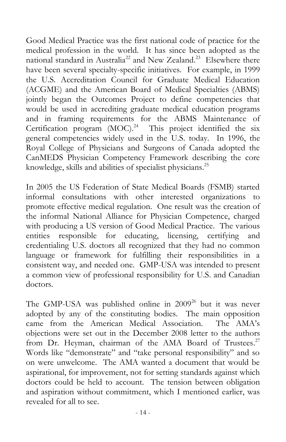Good Medical Practice was the first national code of practice for the medical profession in the world. It has since been adopted as the national standard in Australia<sup>22</sup> and New Zealand.<sup>23</sup> Elsewhere there have been several specialty-specific initiatives. For example, in 1999 the U.S. Accreditation Council for Graduate Medical Education (ACGME) and the American Board of Medical Specialties (ABMS) jointly began the Outcomes Project to define competencies that would be used in accrediting graduate medical education programs and in framing requirements for the ABMS Maintenance of Certification program (MOC). 24 This project identified the six general competencies widely used in the U.S. today. In 1996, the Royal College of Physicians and Surgeons of Canada adopted the CanMEDS Physician Competency Framework describing the core knowledge, skills and abilities of specialist physicians.<sup>25</sup>

In 2005 the US Federation of State Medical Boards (FSMB) started informal consultations with other interested organizations to promote effective medical regulation. One result was the creation of the informal National Alliance for Physician Competence, charged with producing a US version of Good Medical Practice. The various entities responsible for educating, licensing, certifying and credentialing U.S. doctors all recognized that they had no common language or framework for fulfilling their responsibilities in a consistent way, and needed one. GMP-USA was intended to present a common view of professional responsibility for U.S. and Canadian doctors.

The GMP-USA was published online in  $2009^{26}$  but it was never adopted by any of the constituting bodies. The main opposition came from the American Medical Association. The AMA's objections were set out in the December 2008 letter to the authors from Dr. Heyman, chairman of the AMA Board of Trustees.<sup>27</sup> Words like "demonstrate" and "take personal responsibility" and so on were unwelcome. The AMA wanted a document that would be aspirational, for improvement, not for setting standards against which doctors could be held to account. The tension between obligation and aspiration without commitment, which I mentioned earlier, was revealed for all to see.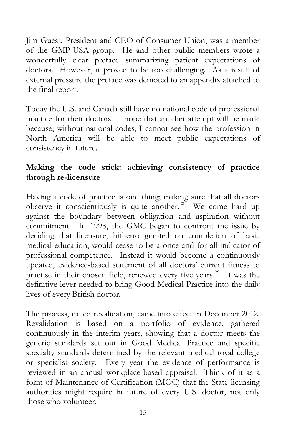Jim Guest, President and CEO of Consumer Union, was a member of the GMP-USA group. He and other public members wrote a wonderfully clear preface summarizing patient expectations of doctors. However, it proved to be too challenging. As a result of external pressure the preface was demoted to an appendix attached to the final report.

Today the U.S. and Canada still have no national code of professional practice for their doctors. I hope that another attempt will be made because, without national codes, I cannot see how the profession in North America will be able to meet public expectations of consistency in future.

#### **Making the code stick: achieving consistency of practice through re-licensure**

Having a code of practice is one thing; making sure that all doctors observe it conscientiously is quite another.<sup>28</sup> We come hard up against the boundary between obligation and aspiration without commitment. In 1998, the GMC began to confront the issue by deciding that licensure, hitherto granted on completion of basic medical education, would cease to be a once and for all indicator of professional competence. Instead it would become a continuously updated, evidence-based statement of all doctors' current fitness to practise in their chosen field, renewed every five years.<sup>29</sup> It was the definitive lever needed to bring Good Medical Practice into the daily lives of every British doctor.

The process, called revalidation, came into effect in December 2012. Revalidation is based on a portfolio of evidence, gathered continuously in the interim years, showing that a doctor meets the generic standards set out in Good Medical Practice and specific specialty standards determined by the relevant medical royal college or specialist society. Every year the evidence of performance is reviewed in an annual workplace-based appraisal. Think of it as a form of Maintenance of Certification (MOC) that the State licensing authorities might require in future of every U.S. doctor, not only those who volunteer.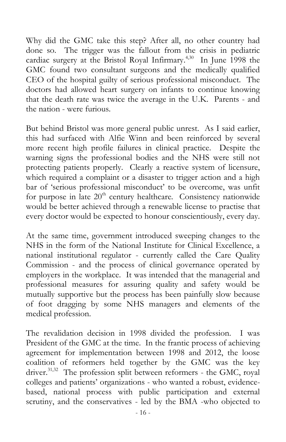Why did the GMC take this step? After all, no other country had done so. The trigger was the fallout from the crisis in pediatric cardiac surgery at the Bristol Royal Infirmary.<sup>4,30</sup> In June 1998 the GMC found two consultant surgeons and the medically qualified CEO of the hospital guilty of serious professional misconduct. The doctors had allowed heart surgery on infants to continue knowing that the death rate was twice the average in the U.K. Parents - and the nation - were furious.

But behind Bristol was more general public unrest. As I said earlier, this had surfaced with Alfie Winn and been reinforced by several more recent high profile failures in clinical practice. Despite the warning signs the professional bodies and the NHS were still not protecting patients properly. Clearly a reactive system of licensure, which required a complaint or a disaster to trigger action and a high bar of 'serious professional misconduct' to be overcome, was unfit for purpose in late  $20<sup>th</sup>$  century healthcare. Consistency nationwide would be better achieved through a renewable license to practise that every doctor would be expected to honour conscientiously, every day.

At the same time, government introduced sweeping changes to the NHS in the form of the National Institute for Clinical Excellence, a national institutional regulator - currently called the Care Quality Commission - and the process of clinical governance operated by employers in the workplace. It was intended that the managerial and professional measures for assuring quality and safety would be mutually supportive but the process has been painfully slow because of foot dragging by some NHS managers and elements of the medical profession.

The revalidation decision in 1998 divided the profession. I was President of the GMC at the time. In the frantic process of achieving agreement for implementation between 1998 and 2012, the loose coalition of reformers held together by the GMC was the key driver.<sup>31,32</sup> The profession split between reformers - the GMC, royal colleges and patients' organizations - who wanted a robust, evidencebased, national process with public participation and external scrutiny, and the conservatives - led by the BMA -who objected to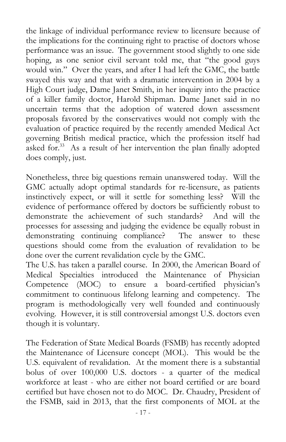the linkage of individual performance review to licensure because of the implications for the continuing right to practise of doctors whose performance was an issue. The government stood slightly to one side hoping, as one senior civil servant told me, that "the good guys would win." Over the years, and after I had left the GMC, the battle swayed this way and that with a dramatic intervention in 2004 by a High Court judge, Dame Janet Smith, in her inquiry into the practice of a killer family doctor, Harold Shipman. Dame Janet said in no uncertain terms that the adoption of watered down assessment proposals favored by the conservatives would not comply with the evaluation of practice required by the recently amended Medical Act governing British medical practice, which the profession itself had asked for.<sup>33</sup> As a result of her intervention the plan finally adopted does comply, just.

Nonetheless, three big questions remain unanswered today. Will the GMC actually adopt optimal standards for re-licensure, as patients instinctively expect, or will it settle for something less? Will the evidence of performance offered by doctors be sufficiently robust to demonstrate the achievement of such standards? And will the processes for assessing and judging the evidence be equally robust in demonstrating continuing compliance? The answer to these questions should come from the evaluation of revalidation to be done over the current revalidation cycle by the GMC.

The U.S. has taken a parallel course. In 2000, the American Board of Medical Specialties introduced the Maintenance of Physician Competence (MOC) to ensure a board-certified physician's commitment to continuous lifelong learning and competency. The program is methodologically very well founded and continuously evolving. However, it is still controversial amongst U.S. doctors even though it is voluntary.

The Federation of State Medical Boards (FSMB) has recently adopted the Maintenance of Licensure concept (MOL). This would be the U.S. equivalent of revalidation. At the moment there is a substantial bolus of over 100,000 U.S. doctors - a quarter of the medical workforce at least - who are either not board certified or are board certified but have chosen not to do MOC. Dr. Chaudry, President of the FSMB, said in 2013, that the first components of MOL at the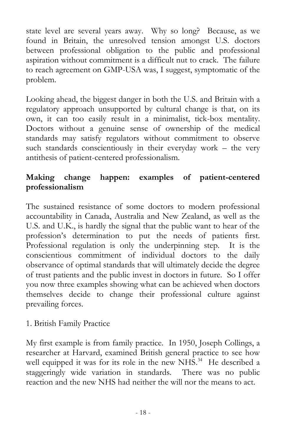state level are several years away. Why so long? Because, as we found in Britain, the unresolved tension amongst U.S. doctors between professional obligation to the public and professional aspiration without commitment is a difficult nut to crack. The failure to reach agreement on GMP-USA was, I suggest, symptomatic of the problem.

Looking ahead, the biggest danger in both the U.S. and Britain with a regulatory approach unsupported by cultural change is that, on its own, it can too easily result in a minimalist, tick-box mentality. Doctors without a genuine sense of ownership of the medical standards may satisfy regulators without commitment to observe such standards conscientiously in their everyday work – the very antithesis of patient-centered professionalism.

### **Making change happen: examples of patient-centered professionalism**

The sustained resistance of some doctors to modern professional accountability in Canada, Australia and New Zealand, as well as the U.S. and U.K., is hardly the signal that the public want to hear of the profession's determination to put the needs of patients first. Professional regulation is only the underpinning step. It is the conscientious commitment of individual doctors to the daily observance of optimal standards that will ultimately decide the degree of trust patients and the public invest in doctors in future. So I offer you now three examples showing what can be achieved when doctors themselves decide to change their professional culture against prevailing forces.

#### 1. British Family Practice

My first example is from family practice. In 1950, Joseph Collings, a researcher at Harvard, examined British general practice to see how well equipped it was for its role in the new NHS.<sup>34</sup> He described a staggeringly wide variation in standards. There was no public reaction and the new NHS had neither the will nor the means to act.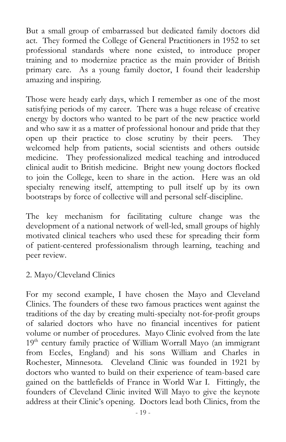But a small group of embarrassed but dedicated family doctors did act. They formed the College of General Practitioners in 1952 to set professional standards where none existed, to introduce proper training and to modernize practice as the main provider of British primary care. As a young family doctor, I found their leadership amazing and inspiring.

Those were heady early days, which I remember as one of the most satisfying periods of my career. There was a huge release of creative energy by doctors who wanted to be part of the new practice world and who saw it as a matter of professional honour and pride that they open up their practice to close scrutiny by their peers. They welcomed help from patients, social scientists and others outside medicine. They professionalized medical teaching and introduced clinical audit to British medicine. Bright new young doctors flocked to join the College, keen to share in the action. Here was an old specialty renewing itself, attempting to pull itself up by its own bootstraps by force of collective will and personal self-discipline.

The key mechanism for facilitating culture change was the development of a national network of well-led, small groups of highly motivated clinical teachers who used these for spreading their form of patient-centered professionalism through learning, teaching and peer review.

#### 2. Mayo/Cleveland Clinics

For my second example, I have chosen the Mayo and Cleveland Clinics. The founders of these two famous practices went against the traditions of the day by creating multi-specialty not-for-profit groups of salaried doctors who have no financial incentives for patient volume or number of procedures. Mayo Clinic evolved from the late  $19<sup>th</sup>$  century family practice of William Worrall Mayo (an immigrant from Eccles, England) and his sons William and Charles in Rochester, Minnesota. Cleveland Clinic was founded in 1921 by doctors who wanted to build on their experience of team-based care gained on the battlefields of France in World War I. Fittingly, the founders of Cleveland Clinic invited Will Mayo to give the keynote address at their Clinic's opening. Doctors lead both Clinics, from the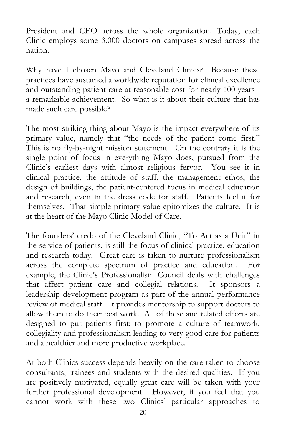President and CEO across the whole organization. Today, each Clinic employs some 3,000 doctors on campuses spread across the nation.

Why have I chosen Mayo and Cleveland Clinics? Because these practices have sustained a worldwide reputation for clinical excellence and outstanding patient care at reasonable cost for nearly 100 years a remarkable achievement. So what is it about their culture that has made such care possible?

The most striking thing about Mayo is the impact everywhere of its primary value, namely that "the needs of the patient come first." This is no fly-by-night mission statement. On the contrary it is the single point of focus in everything Mayo does, pursued from the Clinic's earliest days with almost religious fervor. You see it in clinical practice, the attitude of staff, the management ethos, the design of buildings, the patient-centered focus in medical education and research, even in the dress code for staff. Patients feel it for themselves. That simple primary value epitomizes the culture. It is at the heart of the Mayo Clinic Model of Care.

The founders' credo of the Cleveland Clinic, "To Act as a Unit" in the service of patients, is still the focus of clinical practice, education and research today. Great care is taken to nurture professionalism across the complete spectrum of practice and education. For example, the Clinic's Professionalism Council deals with challenges that affect patient care and collegial relations. It sponsors a leadership development program as part of the annual performance review of medical staff. It provides mentorship to support doctors to allow them to do their best work. All of these and related efforts are designed to put patients first; to promote a culture of teamwork, collegiality and professionalism leading to very good care for patients and a healthier and more productive workplace.

At both Clinics success depends heavily on the care taken to choose consultants, trainees and students with the desired qualities. If you are positively motivated, equally great care will be taken with your further professional development. However, if you feel that you cannot work with these two Clinics' particular approaches to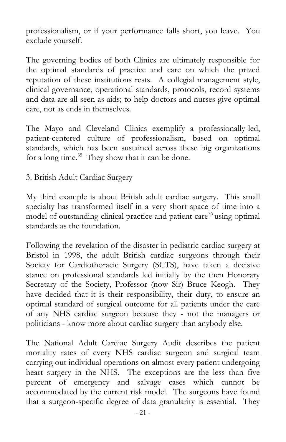professionalism, or if your performance falls short, you leave. You exclude yourself.

The governing bodies of both Clinics are ultimately responsible for the optimal standards of practice and care on which the prized reputation of these institutions rests. A collegial management style, clinical governance, operational standards, protocols, record systems and data are all seen as aids; to help doctors and nurses give optimal care, not as ends in themselves.

The Mayo and Cleveland Clinics exemplify a professionally-led, patient-centered culture of professionalism, based on optimal standards, which has been sustained across these big organizations for a long time.<sup>35</sup> They show that it can be done.

3. British Adult Cardiac Surgery

My third example is about British adult cardiac surgery. This small specialty has transformed itself in a very short space of time into a model of outstanding clinical practice and patient care<sup>36</sup> using optimal standards as the foundation.

Following the revelation of the disaster in pediatric cardiac surgery at Bristol in 1998, the adult British cardiac surgeons through their Society for Cardiothoracic Surgery (SCTS), have taken a decisive stance on professional standards led initially by the then Honorary Secretary of the Society, Professor (now Sir) Bruce Keogh. They have decided that it is their responsibility, their duty, to ensure an optimal standard of surgical outcome for all patients under the care of any NHS cardiac surgeon because they - not the managers or politicians - know more about cardiac surgery than anybody else.

The National Adult Cardiac Surgery Audit describes the patient mortality rates of every NHS cardiac surgeon and surgical team carrying out individual operations on almost every patient undergoing heart surgery in the NHS. The exceptions are the less than five percent of emergency and salvage cases which cannot be accommodated by the current risk model. The surgeons have found that a surgeon-specific degree of data granularity is essential. They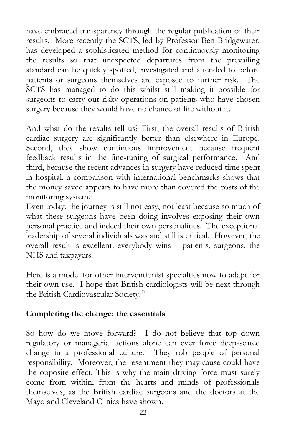have embraced transparency through the regular publication of their results. More recently the SCTS, led by Professor Ben Bridgewater, has developed a sophisticated method for continuously monitoring the results so that unexpected departures from the prevailing standard can be quickly spotted, investigated and attended to before patients or surgeons themselves are exposed to further risk. The SCTS has managed to do this whilst still making it possible for surgeons to carry out risky operations on patients who have chosen surgery because they would have no chance of life without it.

And what do the results tell us? First, the overall results of British cardiac surgery are significantly better than elsewhere in Europe. Second, they show continuous improvement because frequent feedback results in the fine-tuning of surgical performance. And third, because the recent advances in surgery have reduced time spent in hospital, a comparison with international benchmarks shows that the money saved appears to have more than covered the costs of the monitoring system.

Even today, the journey is still not easy, not least because so much of what these surgeons have been doing involves exposing their own personal practice and indeed their own personalities. The exceptional leadership of several individuals was and still is critical. However, the overall result is excellent; everybody wins – patients, surgeons, the NHS and taxpayers.

Here is a model for other interventionist specialties now to adapt for their own use. I hope that British cardiologists will be next through the British Cardiovascular Society.<sup>37</sup>

#### **Completing the change: the essentials**

So how do we move forward? I do not believe that top down regulatory or managerial actions alone can ever force deep-seated change in a professional culture. They rob people of personal responsibility. Moreover, the resentment they may cause could have the opposite effect. This is why the main driving force must surely come from within, from the hearts and minds of professionals themselves, as the British cardiac surgeons and the doctors at the Mayo and Cleveland Clinics have shown.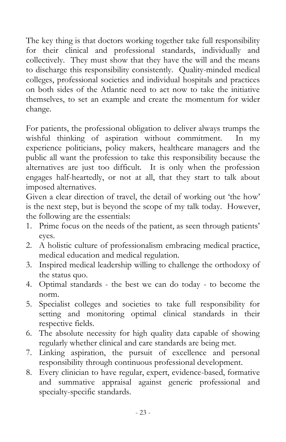The key thing is that doctors working together take full responsibility for their clinical and professional standards, individually and collectively. They must show that they have the will and the means to discharge this responsibility consistently. Quality-minded medical colleges, professional societies and individual hospitals and practices on both sides of the Atlantic need to act now to take the initiative themselves, to set an example and create the momentum for wider change.

For patients, the professional obligation to deliver always trumps the wishful thinking of aspiration without commitment. In my experience politicians, policy makers, healthcare managers and the public all want the profession to take this responsibility because the alternatives are just too difficult. It is only when the profession engages half-heartedly, or not at all, that they start to talk about imposed alternatives.

Given a clear direction of travel, the detail of working out 'the how' is the next step, but is beyond the scope of my talk today. However, the following are the essentials:

- 1. Prime focus on the needs of the patient, as seen through patients' eyes.
- 2. A holistic culture of professionalism embracing medical practice, medical education and medical regulation.
- 3. Inspired medical leadership willing to challenge the orthodoxy of the status quo.
- 4. Optimal standards the best we can do today to become the norm.
- 5. Specialist colleges and societies to take full responsibility for setting and monitoring optimal clinical standards in their respective fields.
- 6. The absolute necessity for high quality data capable of showing regularly whether clinical and care standards are being met.
- 7. Linking aspiration, the pursuit of excellence and personal responsibility through continuous professional development.
- 8. Every clinician to have regular, expert, evidence-based, formative and summative appraisal against generic professional and specialty-specific standards.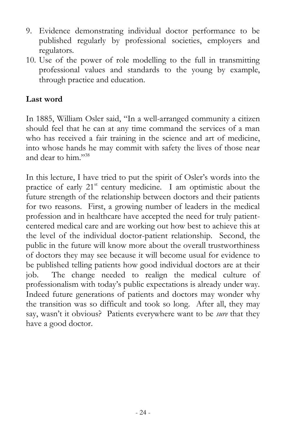- 9. Evidence demonstrating individual doctor performance to be published regularly by professional societies, employers and regulators.
- 10. Use of the power of role modelling to the full in transmitting professional values and standards to the young by example, through practice and education.

#### **Last word**

In 1885, William Osler said, "In a well-arranged community a citizen should feel that he can at any time command the services of a man who has received a fair training in the science and art of medicine, into whose hands he may commit with safety the lives of those near and dear to him." 38

In this lecture, I have tried to put the spirit of Osler's words into the practice of early  $21<sup>st</sup>$  century medicine. I am optimistic about the future strength of the relationship between doctors and their patients for two reasons. First, a growing number of leaders in the medical profession and in healthcare have accepted the need for truly patientcentered medical care and are working out how best to achieve this at the level of the individual doctor-patient relationship. Second, the public in the future will know more about the overall trustworthiness of doctors they may see because it will become usual for evidence to be published telling patients how good individual doctors are at their job. The change needed to realign the medical culture of professionalism with today's public expectations is already under way. Indeed future generations of patients and doctors may wonder why the transition was so difficult and took so long. After all, they may say, wasn't it obvious? Patients everywhere want to be *sure* that they have a good doctor.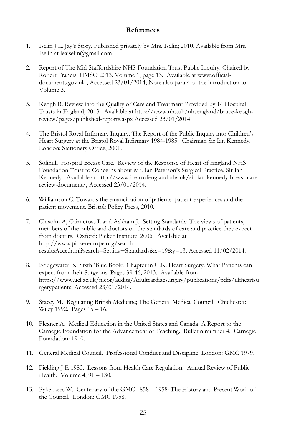#### **References**

- 1. Iselin J L. Jay's Story. Published privately by Mrs. Iselin; 2010. Available from Mrs. Iselin a[t leaiselin@gmail.com.](mailto:leaiselin@gmail.com)
- 2. Report of The Mid Staffordshire NHS Foundation Trust Public Inquiry. Chaired by Robert Francis. HMSO 2013. Volume 1, page 13. Available a[t www.official](http://www.official-documents.gov.uk/)[documents.gov.uk](http://www.official-documents.gov.uk/) , Accessed 23/01/2014; Note also para 4 of the introduction to Volume 3.
- 3. Keogh B. Review into the Quality of Care and Treatment Provided by 14 Hospital Trusts in England; 2013. Available at [http://www.nhs.uk/nhsengland/bruce-keogh](http://www.nhs.uk/nhsengland/bruce-keogh-review/pages/published-reports.aspx)[review/pages/published-reports.aspx](http://www.nhs.uk/nhsengland/bruce-keogh-review/pages/published-reports.aspx) Accessed 23/01/2014.
- 4. The Bristol Royal Infirmary Inquiry. The Report of the Public Inquiry into Children's Heart Surgery at the Bristol Royal Infirmary 1984-1985. Chairman Sir Ian Kennedy. London: Stationery Office, 2001.
- 5. Solihull Hospital Breast Care. Review of the Response of Heart of England NHS Foundation Trust to Concerns about Mr. Ian Paterson's Surgical Practice, Sir Ian Kennedy. Available at [http://www.heartofengland.nhs.uk/sir-ian-kennedy-breast-care](http://www.heartofengland.nhs.uk/sir-ian-kennedy-breast-care-review-document/)[review-document/,](http://www.heartofengland.nhs.uk/sir-ian-kennedy-breast-care-review-document/) Accessed 23/01/2014.
- 6. Williamson C. Towards the emancipation of patients: patient experiences and the patient movement. Bristol: Policy Press, 2010.
- 7. Chisolm A, Cairncross L and Askham J. Setting Standards: The views of patients, members of the public and doctors on the standards of care and practice they expect from doctors. Oxford: Picker Institute, 2006. Available at [http://www.pickereurope.org/search](http://www.pickereurope.org/search-results.html?search=Setting+Standards&x=19&y=13)[resultsAcce.html?search=Setting+Standards&x=19&y=13,](http://www.pickereurope.org/search-results.html?search=Setting+Standards&x=19&y=13) Accessed 11/02/2014.
- 8. Bridgewater B. Sixth 'Blue Book'. Chapter in U.K. Heart Surgery: What Patients can expect from their Surgeons. Pages 39-46, 2013. Available from [https://www.ucl.ac.uk/nicor/audits/Adultcardiacsurgery/publications/pdfs/ukheartsu](https://www.ucl.ac.uk/nicor/audits/Adultcardiacsurgery/publications/pdfs/ukheartsurgerypatients) [rgerypatients,](https://www.ucl.ac.uk/nicor/audits/Adultcardiacsurgery/publications/pdfs/ukheartsurgerypatients) Accessed 23/01/2014.
- 9. Stacey M. Regulating British Medicine; The General Medical Council. Chichester: Wiley 1992. Pages 15 – 16.
- 10. Flexner A. Medical Education in the United States and Canada: A Report to the Carnegie Foundation for the Advancement of Teaching. Bulletin number 4. Carnegie Foundation: 1910.
- 11. General Medical Council. Professional Conduct and Discipline. London: GMC 1979.
- 12. Fielding J E 1983. Lessons from Health Care Regulation. Annual Review of Public Health. Volume 4, 91 – 130.
- 13. Pyke-Lees W. Centenary of the GMC 1858 1958: The History and Present Work of the Council. London: GMC 1958.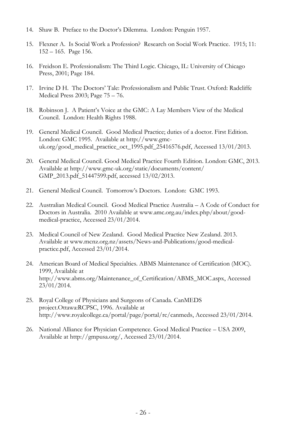- 14. Shaw B. Preface to the Doctor's Dilemma. London: Penguin 1957.
- 15. Flexner A. Is Social Work a Profession? Research on Social Work Practice. 1915; 11: 152 – 165. Page 156.
- 16. Freidson E. Professionalism: The Third Logic. Chicago, IL: University of Chicago Press, 2001; Page 184.
- 17. Irvine D H. The Doctors' Tale: Professionalism and Public Trust. Oxford: Radcliffe Medical Press 2003; Page 75 – 76.
- 18. Robinson J. A Patient's Voice at the GMC: A Lay Members View of the Medical Council. London: Health Rights 1988.
- 19. General Medical Council. Good Medical Practice; duties of a doctor. First Edition. London: GMC 1995. Available at [http://www.gmc](http://www.gmc-uk.org/good_medical_practice_oct_1995.pdf_25416576.pdf)[uk.org/good\\_medical\\_practice\\_oct\\_1995.pdf\\_25416576.pdf,](http://www.gmc-uk.org/good_medical_practice_oct_1995.pdf_25416576.pdf) Accessed 13/01/2013.
- 20. General Medical Council. Good Medical Practice Fourth Edition. London: GMC, 2013. Available at [http://www.gmc-uk.org/static/documents/content/](http://www.gmc-uk.org/static/documents/content/GMP_2013.pdf_51447599.pdf) [GMP\\_2013.pdf\\_51447599.pdf,](http://www.gmc-uk.org/static/documents/content/GMP_2013.pdf_51447599.pdf) accessed 13/02/2013.
- 21. General Medical Council. Tomorrow's Doctors. London: GMC 1993.
- 22. Australian Medical Council. Good Medical Practice Australia A Code of Conduct for Doctors in Australia. 2010 Available a[t www.amc.org.au/index.php/about/good](http://www.amc.org.au/index.php/about/good-medical-practice)[medical-practice,](http://www.amc.org.au/index.php/about/good-medical-practice) Accessed 23/01/2014.
- 23. Medical Council of New Zealand. Good Medical Practice New Zealand. 2013. Available at [www.mcnz.org.nz/assets/News-and-Publications/good-medical](http://www.mcnz.org.nz/assets/News-and-Publications/good-medical-practice.pdf)[practice.pdf,](http://www.mcnz.org.nz/assets/News-and-Publications/good-medical-practice.pdf) Accessed 23/01/2014.
- 24. American Board of Medical Specialties. ABMS Maintenance of Certification (MOC). 1999, Available at [http://www.abms.org/Maintenance\\_of\\_Certification/ABMS\\_MOC.aspx,](http://www.abms.org/Maintenance_of_Certification/ABMS_MOC.aspx) Accessed 23/01/2014.
- 25. Royal College of Physicians and Surgeons of Canada. CanMEDS project.Ottawa:RCPSC, 1996. Available at [http://www.royalcollege.ca/portal/page/portal/rc/canmeds,](http://www.royalcollege.ca/portal/page/portal/rc/canmeds) Accessed 23/01/2014.
- 26. National Alliance for Physician Competence. Good Medical Practice USA 2009, Available at [http://gmpusa.org/,](http://gmpusa.org/) Accessed 23/01/2014.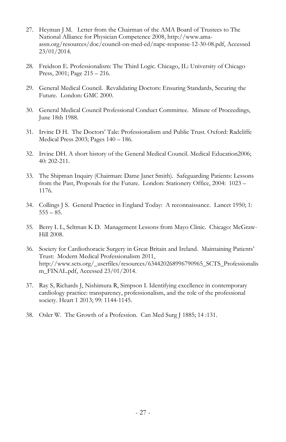- 27. Heyman J M. Letter from the Chairman of the AMA Board of Trustees to The National Alliance for Physician Competence 2008, [http://www.ama](http://www.ama-assn.org/resources/doc/council-on-med-ed/napc-response-12-30-08.pdf)[assn.org/resources/doc/council-on-med-ed/napc-response-12-30-08.pdf,](http://www.ama-assn.org/resources/doc/council-on-med-ed/napc-response-12-30-08.pdf) Accessed 23/01/2014.
- 28. Freidson E. Professionalism: The Third Logic. Chicago, IL: University of Chicago Press, 2001; Page 215 – 216.
- 29. General Medical Council. Revalidating Doctors: Ensuring Standards, Securing the Future. London: GMC 2000.
- 30. General Medical Council Professional Conduct Committee. Minute of Proceedings, June 18th 1988.
- 31. Irvine D H. The Doctors' Tale: Professionalism and Public Trust. Oxford: Radcliffe Medical Press 2003; Pages 140 – 186.
- 32. Irvine DH. A short history of the General Medical Council. Medical Education2006; 40: 202-211.
- 33. The Shipman Inquiry (Chairman: Dame Janet Smith). Safeguarding Patients: Lessons from the Past, Proposals for the Future. London: Stationery Office, 2004: 1023 – 1176.
- 34. Collings J S. General Practice in England Today: A reconnaissance. Lancet 1950; 1:  $555 - 85.$
- 35. Berry L L, Seltman K D. Management Lessons from Mayo Clinic. Chicago: McGraw-Hill 2008.
- 36. Society for Cardiothoracic Surgery in Great Britain and Ireland. Maintaining Patients' Trust: Modern Medical Professionalism 2011, [http://www.scts.org/\\_userfiles/resources/634420268996790965\\_SCTS\\_Professionalis](http://www.scts.org/_userfiles/resources/634420268996790965_SCTS_Professionalism_FINAL.pdf) [m\\_FINAL.pdf,](http://www.scts.org/_userfiles/resources/634420268996790965_SCTS_Professionalism_FINAL.pdf) Accessed 23/01/2014.
- 37. Ray S, Richards J, Nishimura R, Simpson I. Identifying excellence in contemporary cardiology practice: transparency, professionalism, and the role of the professional society. Heart 1 2013; 99: 1144-1145.
- 38. Osler W. The Growth of a Profession. Can Med Surg J 1885; 14 :131.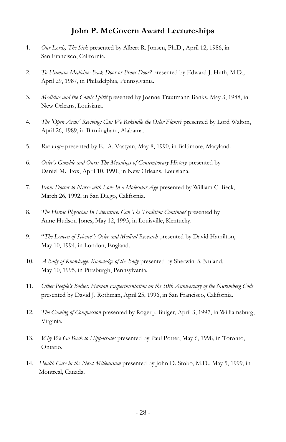#### **John P. McGovern Award Lectureships**

- 1. *Our Lords, The Sick* presented by Albert R. Jonsen, Ph.D., April 12, 1986, in San Francisco, California.
- 2. *To Humane Medicine: Back Door or Front Door?* presented by Edward J. Huth, M.D., April 29, 1987, in Philadelphia, Pennsylvania.
- 3. *Medicine and the Comic Spirit* presented by Joanne Trautmann Banks, May 3, 1988, in New Orleans, Louisiana.
- 4. *The 'Open Arms' Reviving: Can We Rekindle the Osler Flame?* presented by Lord Walton, April 26, 1989, in Birmingham, Alabama.
- 5. *Rx: Hope* presented by E. A. Vastyan, May 8, 1990, in Baltimore, Maryland.
- 6. *Osler's Gamble and Ours: The Meanings of Contemporary History* presented by Daniel M. Fox, April 10, 1991, in New Orleans, Louisiana.
- 7. *From Doctor to Nurse with Love In a Molecular Age* presented by William C. Beck, March 26, 1992, in San Diego, California.
- 8. *The Heroic Physician In Literature: Can The Tradition Continue?* presented by Anne Hudson Jones, May 12, 1993, in Louisville, Kentucky.
- 9. "*The Leaven of Science": Osler and Medical Research* presented by David Hamilton, May 10, 1994, in London, England.
- 10. *A Body of Knowledge: Knowledge of the Body* presented by Sherwin B. Nuland, May 10, 1995, in Pittsburgh, Pennsylvania.
- 11. *Other People's Bodies: Human Experimentation on the 50th Anniversary of the Nuremberg Code* presented by David J. Rothman, April 25, 1996, in San Francisco, California.
- 12. *The Coming of Compassion* presented by Roger J. Bulger, April 3, 1997, in Williamsburg, Virginia.
- 13. *Why We Go Back to Hippocrates* presented by Paul Potter, May 6, 1998, in Toronto, Ontario.
- 14. *Health Care in the Next Millennium* presented by John D. Stobo, M.D., May 5, 1999, in Montreal, Canada.